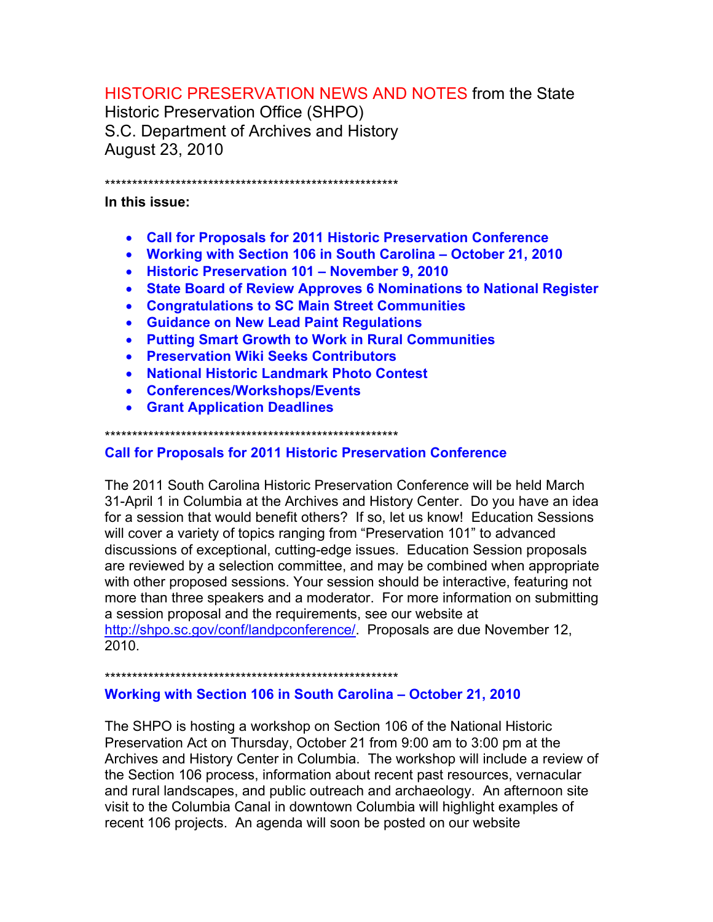## **HISTORIC PRESERVATION NEWS AND NOTES from the State**

**Historic Preservation Office (SHPO)** S.C. Department of Archives and History **August 23, 2010** 

#### 

In this issue:

- Call for Proposals for 2011 Historic Preservation Conference
- Working with Section 106 in South Carolina October 21, 2010
- Historic Preservation 101 November 9, 2010
- State Board of Review Approves 6 Nominations to National Register
- Congratulations to SC Main Street Communities
- Guidance on New Lead Paint Regulations
- Putting Smart Growth to Work in Rural Communities
- Preservation Wiki Seeks Contributors
- National Historic Landmark Photo Contest
- Conferences/Workshops/Events
- Grant Application Deadlines

## **Call for Proposals for 2011 Historic Preservation Conference**

The 2011 South Carolina Historic Preservation Conference will be held March 31-April 1 in Columbia at the Archives and History Center. Do you have an idea for a session that would benefit others? If so, let us know! Education Sessions will cover a variety of topics ranging from "Preservation 101" to advanced discussions of exceptional, cutting-edge issues. Education Session proposals are reviewed by a selection committee, and may be combined when appropriate with other proposed sessions. Your session should be interactive, featuring not more than three speakers and a moderator. For more information on submitting a session proposal and the requirements, see our website at http://shpo.sc.gov/conf/landpconference/ Proposals are due November 12, 2010.

## Working with Section 106 in South Carolina - October 21, 2010

The SHPO is hosting a workshop on Section 106 of the National Historic Preservation Act on Thursday, October 21 from 9:00 am to 3:00 pm at the Archives and History Center in Columbia. The workshop will include a review of the Section 106 process, information about recent past resources, vernacular and rural landscapes, and public outreach and archaeology. An afternoon site visit to the Columbia Canal in downtown Columbia will highlight examples of recent 106 projects. An agenda will soon be posted on our website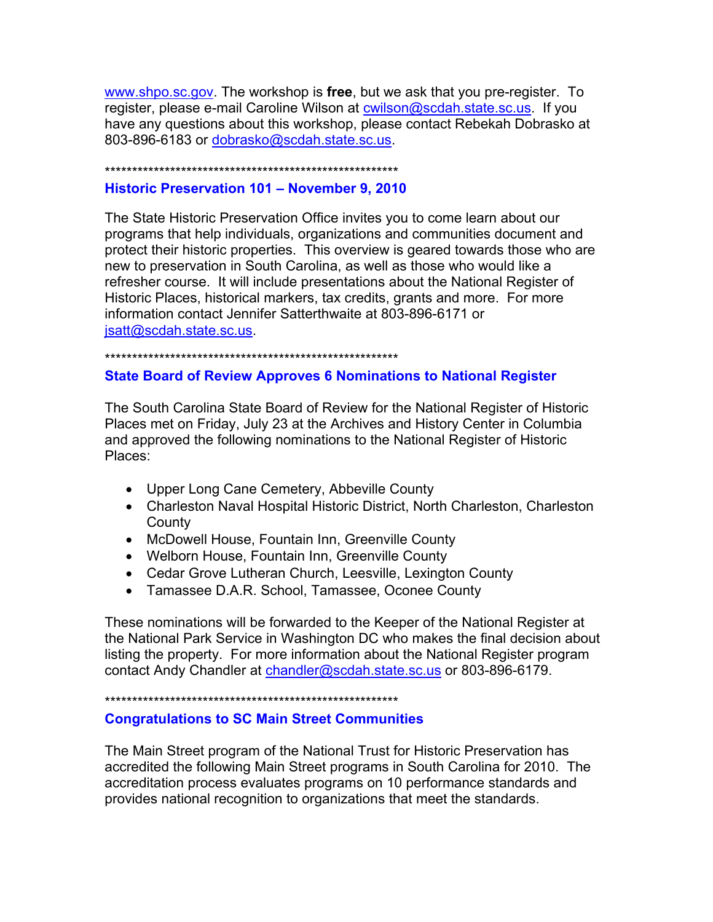www.shpo.sc.gov. The workshop is **free**, but we ask that you pre-register. To register, please e-mail Caroline Wilson at **cwilson@scdah.state.sc.us.** If you have any questions about this workshop, please contact Rebekah Dobrasko at 803-896-6183 or dobrasko@scdah.state.sc.us.

\*\*\*\*\*\*\*\*\*\*\*\*\*\*\*\*\*\*\*\*\*\*\*\*\*\*\*\*\*\*\*\*\*\*\*\*\*\*\*\*\*\*\*\*\*\*\*\*\*\*\*\*\*\*

### **Historic Preservation 101 – November 9, 2010**

The State Historic Preservation Office invites you to come learn about our programs that help individuals, organizations and communities document and protect their historic properties. This overview is geared towards those who are new to preservation in South Carolina, as well as those who would like a refresher course. It will include presentations about the National Register of Historic Places, historical markers, tax credits, grants and more. For more information contact Jennifer Satterthwaite at 803-896-6171 or jsatt@scdah.state.sc.us.

\*\*\*\*\*\*\*\*\*\*\*\*\*\*\*\*\*\*\*\*\*\*\*\*\*\*\*\*\*\*\*\*\*\*\*\*\*\*\*\*\*\*\*\*\*\*\*\*\*\*\*\*\*\*

## **State Board of Review Approves 6 Nominations to National Register**

The South Carolina State Board of Review for the National Register of Historic Places met on Friday, July 23 at the Archives and History Center in Columbia and approved the following nominations to the National Register of Historic Places:

- Upper Long Cane Cemetery, Abbeville County
- Charleston Naval Hospital Historic District, North Charleston, Charleston **County**
- McDowell House, Fountain Inn, Greenville County
- Welborn House, Fountain Inn, Greenville County
- Cedar Grove Lutheran Church, Leesville, Lexington County
- Tamassee D.A.R. School, Tamassee, Oconee County

These nominations will be forwarded to the Keeper of the National Register at the National Park Service in Washington DC who makes the final decision about listing the property. For more information about the National Register program contact Andy Chandler at chandler@scdah.state.sc.us or 803-896-6179.

\*\*\*\*\*\*\*\*\*\*\*\*\*\*\*\*\*\*\*\*\*\*\*\*\*\*\*\*\*\*\*\*\*\*\*\*\*\*\*\*\*\*\*\*\*\*\*\*\*\*\*\*\*\*

## **Congratulations to SC Main Street Communities**

The Main Street program of the National Trust for Historic Preservation has accredited the following Main Street programs in South Carolina for 2010. The accreditation process evaluates programs on 10 performance standards and provides national recognition to organizations that meet the standards.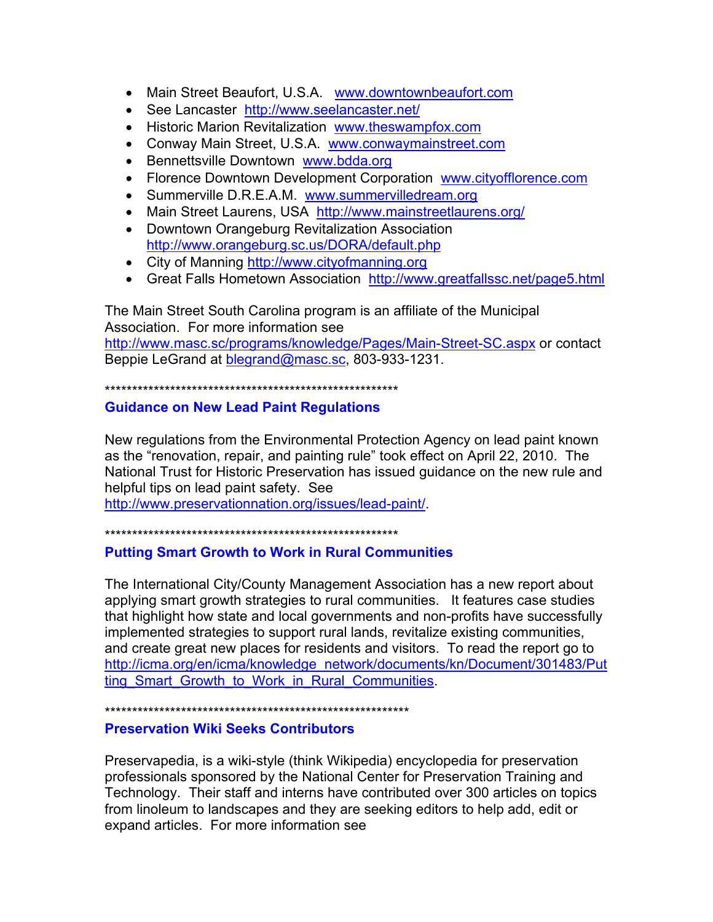- Main Street Beaufort, U.S.A. www.downtownbeaufort.com
- See Lancaster http://www.seelancaster.net/
- Historic Marion Revitalization www.theswampfox.com
- Conway Main Street, U.S.A. www.conwaymainstreet.com
- Bennettsville Downtown www.bdda.org
- Florence Downtown Development Corporation www.cityofflorence.com
- Summerville D.R.E.A.M. www.summervilledream.org
- Main Street Laurens, USA http://www.mainstreetlaurens.org/
- Downtown Orangeburg Revitalization Association http://www.orangeburg.sc.us/DORA/default.php
- City of Manning http://www.cityofmanning.org
- Great Falls Hometown Association http://www.greatfallssc.net/page5.html

The Main Street South Carolina program is an affiliate of the Municipal Association. For more information see http://www.masc.sc/programs/knowledge/Pages/Main-Street-SC.aspx or contact Beppie LeGrand at blegrand@masc.sc, 803-933-1231.

\*\*\*\*\*\*\*\*\*\*\*\*\*\*\*\*\*\*\*\*\*\*\*\*\*\*\*\*\*\*\*\*\*\*\*\*\*\*\*\*\*\*\*\*\*\*\*\*\*\*\*\*\*\*

## **Guidance on New Lead Paint Regulations**

New regulations from the Environmental Protection Agency on lead paint known as the "renovation, repair, and painting rule" took effect on April 22, 2010. The National Trust for Historic Preservation has issued guidance on the new rule and helpful tips on lead paint safety. See

http://www.preservationnation.org/issues/lead-paint/.

\*\*\*\*\*\*\*\*\*\*\*\*\*\*\*\*\*\*\*\*\*\*\*\*\*\*\*\*\*\*\*\*\*\*\*\*\*\*\*\*\*\*\*\*\*\*\*\*\*\*\*\*\*\*

## **Putting Smart Growth to Work in Rural Communities**

The International City/County Management Association has a new report about applying smart growth strategies to rural communities. It features case studies that highlight how state and local governments and non-profits have successfully implemented strategies to support rural lands, revitalize existing communities, and create great new places for residents and visitors. To read the report go to http://icma.org/en/icma/knowledge\_network/documents/kn/Document/301483/Put ting Smart Growth to Work in Rural Communities.

\*\*\*\*\*\*\*\*\*\*\*\*\*\*\*\*\*\*\*\*\*\*\*\*\*\*\*\*\*\*\*\*\*\*\*\*\*\*\*\*\*\*\*\*\*\*\*\*\*\*\*\*\*\*\*\*

## **Preservation Wiki Seeks Contributors**

Preservapedia, is a wiki-style (think Wikipedia) encyclopedia for preservation professionals sponsored by the National Center for Preservation Training and Technology. Their staff and interns have contributed over 300 articles on topics from linoleum to landscapes and they are seeking editors to help add, edit or expand articles. For more information see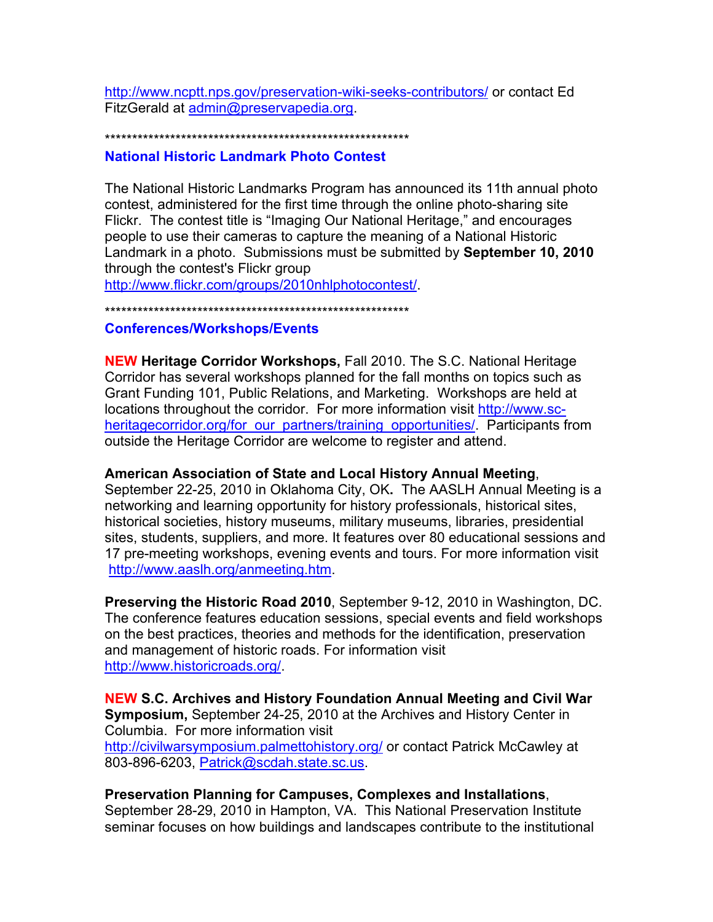http://www.ncptt.nps.gov/preservation-wiki-seeks-contributors/ or contact Ed FitzGerald at admin@preservapedia.org.

# \*\*\*\*\*\*\*\*\*\*\*\*\*\*\*\*\*\*\*\*\*\*\*\*\*\*\*\*\*\*\*\*\*\*\*\*\*\*\*\*\*\*\*\*\*\*\*\*\*\*\*\*\*\*\*\*

#### **National Historic Landmark Photo Contest**

The National Historic Landmarks Program has announced its 11th annual photo contest, administered for the first time through the online photo-sharing site Flickr. The contest title is "Imaging Our National Heritage," and encourages people to use their cameras to capture the meaning of a National Historic Landmark in a photo. Submissions must be submitted by **September 10, 2010** through the contest's Flickr group

http://www.flickr.com/groups/2010nhlphotocontest/.

\*\*\*\*\*\*\*\*\*\*\*\*\*\*\*\*\*\*\*\*\*\*\*\*\*\*\*\*\*\*\*\*\*\*\*\*\*\*\*\*\*\*\*\*\*\*\*\*\*\*\*\*\*\*\*\*

### **Conferences/Workshops/Events**

**NEW Heritage Corridor Workshops,** Fall 2010. The S.C. National Heritage Corridor has several workshops planned for the fall months on topics such as Grant Funding 101, Public Relations, and Marketing. Workshops are held at locations throughout the corridor. For more information visit http://www.scheritagecorridor.org/for\_our\_partners/training\_opportunities/. Participants from outside the Heritage Corridor are welcome to register and attend.

### **American Association of State and Local History Annual Meeting**,

September 22-25, 2010 in Oklahoma City, OK**.** The AASLH Annual Meeting is a networking and learning opportunity for history professionals, historical sites, historical societies, history museums, military museums, libraries, presidential sites, students, suppliers, and more. It features over 80 educational sessions and 17 pre-meeting workshops, evening events and tours. For more information visit http://www.aaslh.org/anmeeting.htm.

**Preserving the Historic Road 2010**, September 9-12, 2010 in Washington, DC. The conference features education sessions, special events and field workshops on the best practices, theories and methods for the identification, preservation and management of historic roads. For information visit http://www.historicroads.org/.

**NEW S.C. Archives and History Foundation Annual Meeting and Civil War Symposium,** September 24-25, 2010 at the Archives and History Center in Columbia. For more information visit http://civilwarsymposium.palmettohistory.org/ or contact Patrick McCawley at 803-896-6203, Patrick@scdah.state.sc.us.

### **Preservation Planning for Campuses, Complexes and Installations**,

September 28-29, 2010 in Hampton, VA. This National Preservation Institute seminar focuses on how buildings and landscapes contribute to the institutional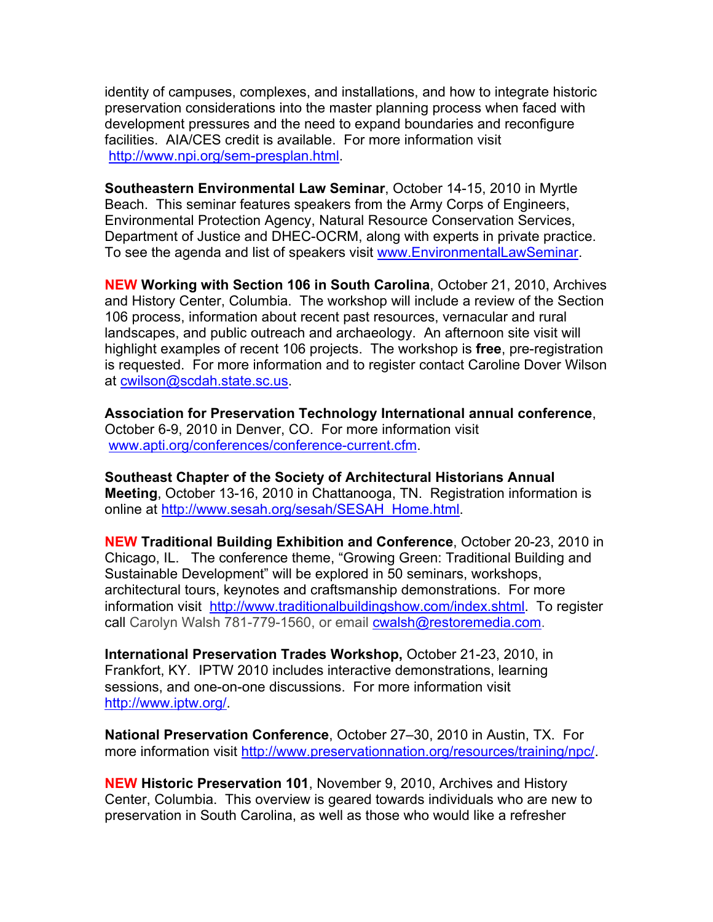identity of campuses, complexes, and installations, and how to integrate historic preservation considerations into the master planning process when faced with development pressures and the need to expand boundaries and reconfigure facilities. AIA/CES credit is available. For more information visit http://www.npi.org/sem-presplan.html.

**Southeastern Environmental Law Seminar**, October 14-15, 2010 in Myrtle Beach. This seminar features speakers from the Army Corps of Engineers, Environmental Protection Agency, Natural Resource Conservation Services, Department of Justice and DHEC-OCRM, along with experts in private practice. To see the agenda and list of speakers visit www.EnvironmentalLawSeminar.

**NEW Working with Section 106 in South Carolina**, October 21, 2010, Archives and History Center, Columbia. The workshop will include a review of the Section 106 process, information about recent past resources, vernacular and rural landscapes, and public outreach and archaeology. An afternoon site visit will highlight examples of recent 106 projects. The workshop is **free**, pre-registration is requested. For more information and to register contact Caroline Dover Wilson at cwilson@scdah.state.sc.us.

**Association for Preservation Technology International annual conference**, October 6-9, 2010 in Denver, CO. For more information visit www.apti.org/conferences/conference-current.cfm.

**Southeast Chapter of the Society of Architectural Historians Annual Meeting**, October 13-16, 2010 in Chattanooga, TN. Registration information is online at http://www.sesah.org/sesah/SESAH\_Home.html.

**NEW Traditional Building Exhibition and Conference**, October 20-23, 2010 in Chicago, IL. The conference theme, "Growing Green: Traditional Building and Sustainable Development" will be explored in 50 seminars, workshops, architectural tours, keynotes and craftsmanship demonstrations. For more information visit http://www.traditionalbuildingshow.com/index.shtml. To register call Carolyn Walsh 781-779-1560, or email cwalsh@restoremedia.com.

**International Preservation Trades Workshop,** October 21-23, 2010, in Frankfort, KY.IPTW 2010 includes interactive demonstrations, learning sessions, and one-on-one discussions. For more information visit http://www.iptw.org/.

**National Preservation Conference**, October 27–30, 2010 in Austin, TX. For more information visit http://www.preservationnation.org/resources/training/npc/.

**NEW Historic Preservation 101**, November 9, 2010, Archives and History Center, Columbia.This overview is geared towards individuals who are new to preservation in South Carolina, as well as those who would like a refresher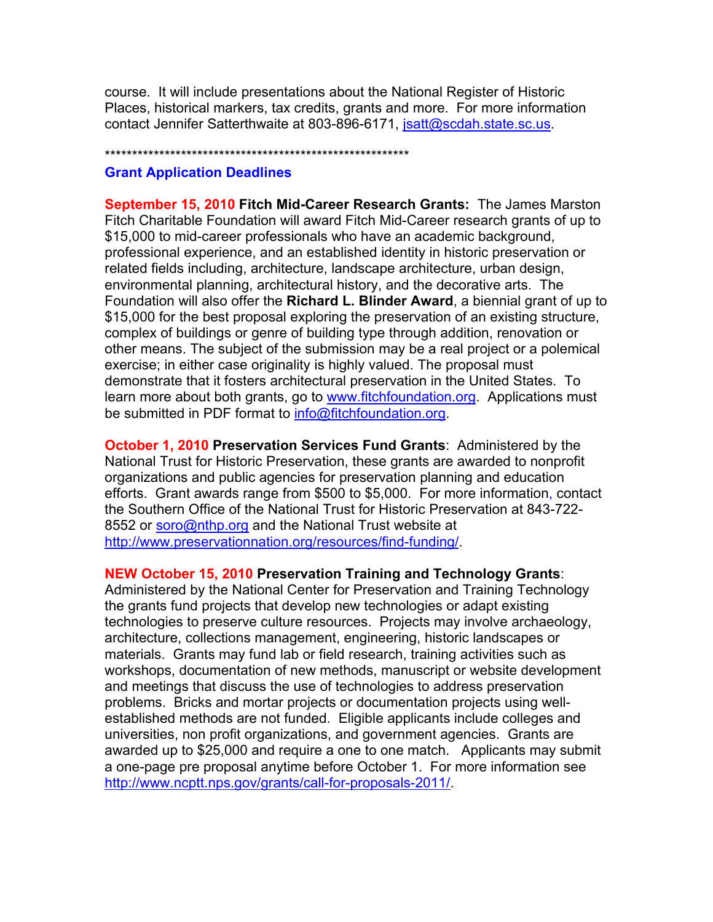course. It will include presentations about the National Register of Historic Places, historical markers, tax credits, grants and more. For more information contact Jennifer Satterthwaite at 803-896-6171, jsatt@scdah.state.sc.us.

#### \*\*\*\*\*\*\*\*\*\*\*\*\*\*\*\*\*\*\*\*\*\*\*\*\*\*\*\*\*\*\*\*\*\*\*\*\*\*\*\*\*\*\*\*\*\*\*\*\*\*\*\*\*\*\*\*

#### **Grant Application Deadlines**

**September 15, 2010 Fitch Mid-Career Research Grants:** The James Marston Fitch Charitable Foundation will award Fitch Mid-Career research grants of up to \$15,000 to mid-career professionals who have an academic background, professional experience, and an established identity in historic preservation or related fields including, architecture, landscape architecture, urban design, environmental planning, architectural history, and the decorative arts. The Foundation will also offer the **Richard L. Blinder Award**, a biennial grant of up to \$15,000 for the best proposal exploring the preservation of an existing structure, complex of buildings or genre of building type through addition, renovation or other means. The subject of the submission may be a real project or a polemical exercise; in either case originality is highly valued. The proposal must demonstrate that it fosters architectural preservation in the United States. To learn more about both grants, go to www.fitchfoundation.org. Applications must be submitted in PDF format to info@fitchfoundation.org.

**October 1, 2010 Preservation Services Fund Grants**: Administered by the National Trust for Historic Preservation, these grants are awarded to nonprofit organizations and public agencies for preservation planning and education efforts. Grant awards range from \$500 to \$5,000. For more information, contact the Southern Office of the National Trust for Historic Preservation at 843-722- 8552 or soro@nthp.org and the National Trust website at http://www.preservationnation.org/resources/find-funding/.

#### **NEW October 15, 2010 Preservation Training and Technology Grants**:

Administered by the National Center for Preservation and Training Technology the grants fund projects that develop new technologies or adapt existing technologies to preserve culture resources. Projects may involve archaeology, architecture, collections management, engineering, historic landscapes or materials. Grants may fund lab or field research, training activities such as workshops, documentation of new methods, manuscript or website development and meetings that discuss the use of technologies to address preservation problems. Bricks and mortar projects or documentation projects using wellestablished methods are not funded. Eligible applicants include colleges and universities, non profit organizations, and government agencies. Grants are awarded up to \$25,000 and require a one to one match. Applicants may submit a one-page pre proposal anytime before October 1. For more information see http://www.ncptt.nps.gov/grants/call-for-proposals-2011/.